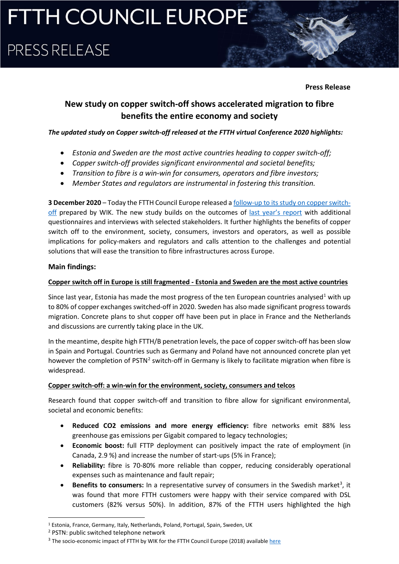# FTTH COUNCIL EUROPE

## PRESS RELEASE

**Press Release**

### **New study on copper switch-off shows accelerated migration to fibre benefits the entire economy and society**

#### *The updated study on Copper switch-off released at the FTTH virtual Conference 2020 highlights:*

- *Estonia and Sweden are the most active countries heading to copper switch-off;*
- *Copper switch-off provides significant environmental and societal benefits;*
- *Transition to fibre is a win-win for consumers, operators and fibre investors;*
- *Member States and regulators are instrumental in fostering this transition.*

**3 December 2020** – Today the FTTH Council Europe released a follow-up [to its study on copper switch](https://www.ftthcouncil.eu/documents/Copper_switchoff_whitepaper_01122020-Final.pdf)[off](https://www.ftthcouncil.eu/documents/Copper_switchoff_whitepaper_01122020-Final.pdf) prepared by WIK. The new study builds on the outcomes of [last year's](https://www.ftthcouncil.eu/documents/Reports/2019/Copper_switch-off_analysis_12032019_short.pdf) report with additional questionnaires and interviews with selected stakeholders. It further highlights the benefits of copper switch off to the environment, society, consumers, investors and operators, as well as possible implications for policy-makers and regulators and calls attention to the challenges and potential solutions that will ease the transition to fibre infrastructures across Europe.

#### **Main findings:**

#### **Copper switch off in Europe is still fragmented - Estonia and Sweden are the most active countries**

Since last year, Estonia has made the most progress of the ten European countries analysed<sup>[1](#page-0-0)</sup> with up to 80% of copper exchanges switched-off in 2020. Sweden has also made significant progress towards migration. Concrete plans to shut copper off have been put in place in France and the Netherlands and discussions are currently taking place in the UK.

In the meantime, despite high FTTH/B penetration levels, the pace of copper switch-off has been slow in Spain and Portugal. Countries such as Germany and Poland have not announced concrete plan yet however the completion of PSTN<sup>[2](#page-0-1)</sup> switch-off in Germany is likely to facilitate migration when fibre is widespread.

#### **Copper switch-off: a win-win for the environment, society, consumers and telcos**

Research found that copper switch-off and transition to fibre allow for significant environmental, societal and economic benefits:

- **Reduced CO2 emissions and more energy efficiency:** fibre networks emit 88% less greenhouse gas emissions per Gigabit compared to legacy technologies;
- **Economic boost:** full FTTP deployment can positively impact the rate of employment (in Canada, 2.9 %) and increase the number of start-ups (5% in France);
- **Reliability:** fibre is 70-80% more reliable than copper, reducing considerably operational expenses such as maintenance and fault repair;
- Benefits to consumers: In a representative survey of consumers in the Swedish market<sup>[3](#page-0-2)</sup>, it was found that more FTTH customers were happy with their service compared with DSL customers (82% versus 50%). In addition, 87% of the FTTH users highlighted the high

<span id="page-0-0"></span><sup>1</sup> Estonia, France, Germany, Italy, Netherlands, Poland, Portugal, Spain, Sweden, UK

<span id="page-0-1"></span><sup>2</sup> PSTN: public switched telephone network

<span id="page-0-2"></span><sup>&</sup>lt;sup>3</sup> The socio-economic impact of FTTH by WIK for the FTTH Council Europe (2018) availabl[e here](https://www.ftthcouncil.eu/documents/FTTH_Council_report__FINAL_and_proofread-update-20180214.pdf)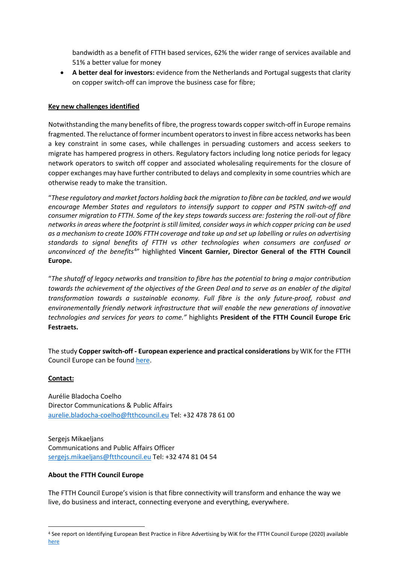bandwidth as a benefit of FTTH based services, 62% the wider range of services available and 51% a better value for money

• **A better deal for investors:** evidence from the Netherlands and Portugal suggests that clarity on copper switch-off can improve the business case for fibre;

#### **Key new challenges identified**

Notwithstanding the many benefits of fibre, the progress towards copper switch-off in Europe remains fragmented. The reluctance of former incumbent operatorsto invest in fibre access networks has been a key constraint in some cases, while challenges in persuading customers and access seekers to migrate has hampered progress in others. Regulatory factors including long notice periods for legacy network operators to switch off copper and associated wholesaling requirements for the closure of copper exchanges may have further contributed to delays and complexity in some countries which are otherwise ready to make the transition.

"*These regulatory and market factors holding back the migration to fibre can be tackled, and we would encourage Member States and regulators to intensify support to copper and PSTN switch-off and consumer migration to FTTH. Some of the key steps towards success are: fostering the roll-out of fibre networks in areas where the footprint is still limited, consider ways in which copper pricing can be used as a mechanism to create 100% FTTH coverage and take up and set up labelling or rules on advertising standards to signal benefits of FTTH vs other technologies when consumers are confused or*  unconvinced of the benefits<sup>[4](#page-1-0)</sup>" highlighted Vincent Garnier, Director General of the FTTH Council **Europe.**

"*The shutoff of legacy networks and transition to fibre has the potential to bring a major contribution towards the achievement of the objectives of the Green Deal and to serve as an enabler of the digital transformation towards a sustainable economy. Full fibre is the only future-proof, robust and environementally friendly network infrastructure that will enable the new generations of innovative technologies and services for years to come."* highlights **President of the FTTH Council Europe Eric Festraets.**

The study **Copper switch-off - European experience and practical considerations** by WIK for the FTTH Council Europe can be found [here.](https://www.ftthcouncil.eu/documents/2020%201202%20Copper_switch-off_analysis_.pdf)

#### **Contact:**

Aurélie Bladocha Coelho Director Communications & Public Affairs [aurelie.bladocha-coelho@ftthcouncil.eu](mailto:aurelie.bladocha-coelho@ftthcouncil.eu) Tel: +32 478 78 61 00

Sergejs Mikaeljans Communications and Public Affairs Officer [sergejs.mikaeljans@ftthcouncil.eu](mailto:sergejs.mikaeljans@ftthcouncil.eu) Tel: +32 474 81 04 54

#### **About the FTTH Council Europe**

The FTTH Council Europe's vision is that fibre connectivity will transform and enhance the way we live, do business and interact, connecting everyone and everything, everywhere.

<span id="page-1-0"></span><sup>4</sup> See report on Identifying European Best Practice in Fibre Advertising by WiK for the FTTH Council Europe (2020) available [here](https://www.ftthcouncil.eu/documents/Study%20-%20Identifying%20European%20Best%20Practice%20in%20Fibre%20Advertising%20-%20FTTH%20Conference.pdf)